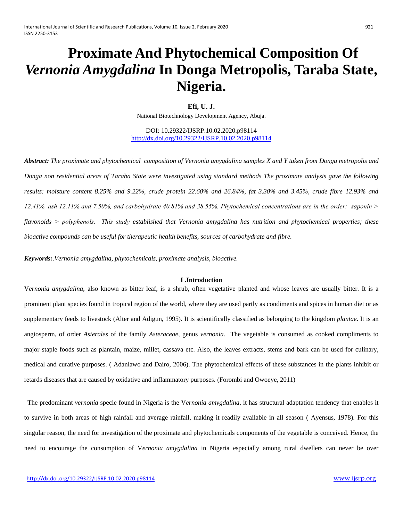# **Proximate And Phytochemical Composition Of**  *Vernonia Amygdalina* **In Donga Metropolis, Taraba State, Nigeria.**

**Efi, U. J.** 

National Biotechnology Development Agency, Abuja.

DOI: 10.29322/IJSRP.10.02.2020.p98114 <http://dx.doi.org/10.29322/IJSRP.10.02.2020.p98114>

*Abstract: The proximate and phytochemical composition of Vernonia amygdalina samples X and Y taken from Donga metropolis and Donga non residential areas of Taraba State were investigated using standard methods The proximate analysis gave the following results: moisture content 8.25% and 9.22%, crude protein 22.60% and 26.84%, fat 3.30% and 3.45%, crude fibre 12.93% and 12.41%, ash 12.11% and 7.50%, and carbohydrate 40.81% and 38.55%. Phytochemical concentrations are in the order: saponin ˃ flavonoids ˃ polyphenols. This study established that Vernonia amygdalina has nutrition and phytochemical properties; these bioactive compounds can be useful for therapeutic health benefits, sources of carbohydrate and fibre.*

*Keywords:.Vernonia amygdalina, phytochemicals, proximate analysis, bioactive.*

#### **I .Introduction**

V*ernonia amygdalina*, also known as bitter leaf, is a shrub, often vegetative planted and whose leaves are usually bitter. It is a prominent plant species found in tropical region of the world, where they are used partly as condiments and spices in human diet or as supplementary feeds to livestock (Alter and Adigun, 1995). It is scientifically classified as belonging to the kingdom *plantae*. It is an angiosperm, of order *Asterales* of the family *Asteraceae*, genus *vernonia.* The vegetable is consumed as cooked compliments to major staple foods such as plantain, maize, millet, cassava etc. Also, the leaves extracts, stems and bark can be used for culinary, medical and curative purposes. ( Adanlawo and Dairo, 2006). The phytochemical effects of these substances in the plants inhibit or retards diseases that are caused by oxidative and inflammatory purposes. (Forombi and Owoeye, 2011)

The predominant *vernonia* specie found in Nigeria is the V*ernonia amygdalina*, it has structural adaptation tendency that enables it to survive in both areas of high rainfall and average rainfall, making it readily available in all season ( Ayensus, 1978). For this singular reason, the need for investigation of the proximate and phytochemicals components of the vegetable is conceived. Hence, the need to encourage the consumption of V*ernonia amygdalina* in Nigeria especially among rural dwellers can never be over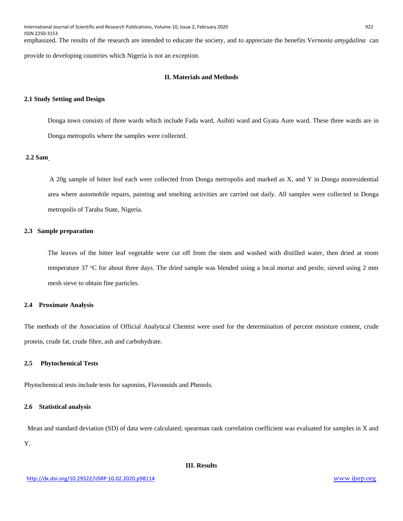International Journal of Scientific and Research Publications, Volume 10, Issue 2, February 2020 922 ISSN 2250-3153 emphasized. The results of the research are intended to educate the society, and to appreciate the benefits V*ernonia amygdalina* can

provide to developing countries which Nigeria is not an exception.

# **II. Materials and Methods**

#### **2.1 Study Setting and Design**

Donga town consists of three wards which include Fada ward, Asibiti ward and Gyata Aure ward. These three wards are in Donga metropolis where the samples were collected.

# **2.2 Sam**

A 20g sample of bitter leaf each were collected from Donga metropolis and marked as X, and Y in Donga nonresidential area where automobile repairs, painting and smelting activities are carried out daily. All samples were collected in Donga metropolis of Taraba State, Nigeria.

# **2.3 Sample preparation**

The leaves of the bitter leaf vegetable were cut off from the stem and washed with distilled water, then dried at room temperature 37 °C for about three days. The dried sample was blended using a local mortar and pestle, sieved using 2 mm mesh sieve to obtain fine particles.

#### **2.4 Proximate Analysis**

The methods of the Association of Official Analytical Chemist were used for the determination of percent moisture content, crude protein, crude fat, crude fibre, ash and carbohydrate.

#### **2.5 Phytochemical Tests**

Phytochemical tests include tests for saponins, Flavonoids and Phenols.

# **2.6 Statistical analysis**

 Mean and standard deviation (SD) of data were calculated; spearman rank correlation coefficient was evaluated for samples in X and Y.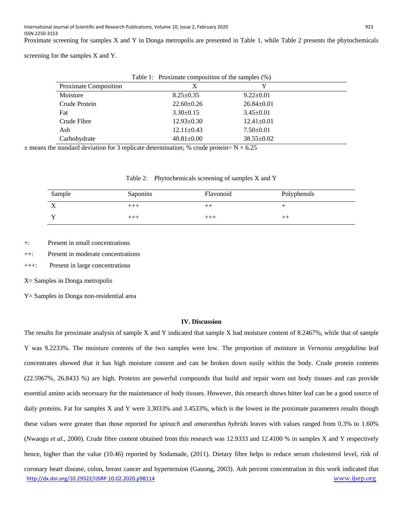Proximate screening for samples X and Y in Donga metropolis are presented in Table 1, while Table 2 presents the phytochemicals

screening for the samples X and Y.

|                       | Table 1: Proximate composition of the samples (%) |                  |  |
|-----------------------|---------------------------------------------------|------------------|--|
| Proximate Composition | X                                                 |                  |  |
| Moisture              | $8.25 \pm 0.35$                                   | $9.22 \pm 0.01$  |  |
| Crude Protein         | $22.60 \pm 0.26$                                  | $26.84 \pm 0.01$ |  |
| Fat                   | $3.30\pm0.15$                                     | $3.45 \pm 0.01$  |  |
| Crude Fibre           | $12.93 \pm 0.30$                                  | $12.41 \pm 0.01$ |  |
| Ash                   | $12.11 \pm 0.43$                                  | $7.50 \pm 0.01$  |  |
| Carbohydrate          | $40.81 \pm 0.00$                                  | $38.55 \pm 0.02$ |  |

 $\pm$  means the standard deviation for 3 replicate determination; % crude protein= N  $\times$  6.25

|  | Table 2: Phytochemicals screening of samples X and Y |  |
|--|------------------------------------------------------|--|
|  |                                                      |  |

| Sample                | Saponins | Flavonoid | Polyphenols |
|-----------------------|----------|-----------|-------------|
| . .<br>$\overline{ }$ | $^{+++}$ | ᄀ         |             |
|                       | $+++$    | $++++$    |             |

+: Present in small concentrations

++: Present in moderate concentrations

+++: Present in large concentrations

X= Samples in Donga metropolis

Y= Samples in Donga non-residential area

# **IV. Discussion**

<http://dx.doi.org/10.29322/IJSRP.10.02.2020.p98114> [www.ijsrp.org](http://ijsrp.org/) The results for proximate analysis of sample X and Y indicated that sample X had moisture content of 8.2467%, while that of sample Y was 9.2233%. The moisture contents of the two samples were low. The proportion of moisture in *Vernonia amygdalina* leaf concentrates showed that it has high moisture content and can be broken down easily within the body. Crude protein contents (22.5967%, 26.8433 %) are high. Proteins are powerful compounds that build and repair worn out body tissues and can provide essential amino acids necessary for the maintenance of body tissues. However, this research shows bitter leaf can be a good source of daily proteins. Fat for samples X and Y were 3.3033% and 3.4533%, which is the lowest in the proximate parameters results though these values were greater than those reported for *spinach* and *amaranthus hybrids* leaves with values ranged from 0.3% to 1.60% (Nwaogu *et al*., 2000). Crude fibre content obtained from this research was 12.9333 and 12.4100 % in samples X and Y respectively hence, higher than the value (10.46) reported by Sodamade, (2011). Dietary fibre helps to reduce serum cholesterol level, risk of coronary heart disease, colon, breast cancer and hypertension (Gauong, 2003). Ash percent concentration in this work indicated that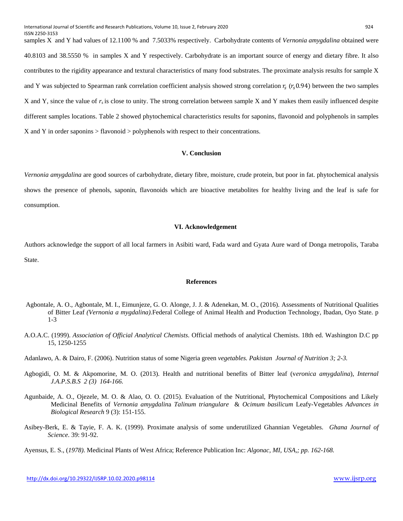samples X and Y had values of 12.1100 % and 7.5033% respectively. Carbohydrate contents of *Vernonia amygdalina* obtained were 40.8103 and 38.5550 % in samples X and Y respectively. Carbohydrate is an important source of energy and dietary fibre. It also contributes to the rigidity appearance and textural characteristics of many food substrates. The proximate analysis results for sample X and Y was subjected to Spearman rank correlation coefficient analysis showed strong correlation  $r_s$  ( $r_s$ 0.94) between the two samples X and Y, since the value of *rs* is close to unity. The strong correlation between sample X and Y makes them easily influenced despite different samples locations. Table 2 showed phytochemical characteristics results for saponins, flavonoid and polyphenols in samples X and Y in order saponins > flavonoid > polyphenols with respect to their concentrations.

#### **V. Conclusion**

*Vernonia amygdalina* are good sources of carbohydrate, dietary fibre, moisture, crude protein, but poor in fat. phytochemical analysis shows the presence of phenols, saponin, flavonoids which are bioactive metabolites for healthy living and the leaf is safe for consumption.

#### **VI. Acknowledgement**

Authors acknowledge the support of all local farmers in Asibiti ward, Fada ward and Gyata Aure ward of Donga metropolis, Taraba State.

# **References**

- Agbontale, A. O., Agbontale, M. I., Eimunjeze, G. O. Alonge, J. J. & Adenekan, M. O., (2016). Assessments of Nutritional Qualities of Bitter Leaf *(Vernonia a mygdalina).*Federal College of Animal Health and Production Technology, Ibadan, Oyo State. p 1-3
- A.O.A.C. (1999). *Association of Official Analytical Chemists*. Official methods of analytical Chemists. 18th ed. Washington D.C pp 15, 1250-1255
- Adanlawo, A. & Dairo, F. (2006). Nutrition status of some Nigeria green *vegetables. Pakistan Journal of Nutrition 3; 2-3.*
- Agbogidi, O. M. & Akpomorine, M. O. (2013). Health and nutritional benefits of Bitter leaf (v*eronica amygdalina*), *Internal J.A.P.S.B.S 2 (3) 164-166.*
- Agunbaide, A. O., Ojezele, M. O. & Alao, O. O. (2015). Evaluation of the Nutritional, Phytochemical Compositions and Likely Medicinal Benefits of *Vernonia amygdalin*a *Talinum triangulare* & *Ocimum basilicum* Leafy-Vegetables *Advances in Biological Research* 9 (3): 151-155.
- Asibey-Berk, E. & Tayie, F. A. K. (1999). Proximate analysis of some underutilized Ghannian Vegetables. *Ghana Journal of Science*. 39: 91-92.
- Ayensus, E. S., (*1978)*. Medicinal Plants of West Africa; Reference Publication Inc: *Algonac, MI, USA,; pp. 162-168.*